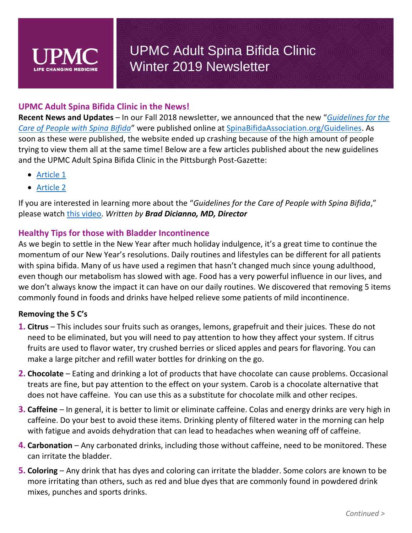### **UPMC Adult Spina Bifida Clinic in the News!**

**Recent News and Updates** – In our Fall 2018 newsletter, we announced that the new "*[Guidelines for the](http://spinabifidaassociation.org/guidelines/)  [Care of People with Spina Bifida](http://spinabifidaassociation.org/guidelines/)*" were published online at [SpinaBifidaAssociation.org/Guidelines.](http://spinabifidaassociation.org/guidelines/) As soon as these were published, the website ended up crashing because of the high amount of people trying to view them all at the same time! Below are a few articles published about the new guidelines and the UPMC Adult Spina Bifida Clinic in the Pittsburgh Post-Gazette:

- [Article 1](https://www.post-gazette.com/news/health/2018/12/05/guidelines-spina-bifida-patients-care-Dicianno-UPMC-Mercy/stories/201812030137)
- [Article 2](https://www.post-gazette.com/news/health/2018/12/05/New-guidelines-adults-spina-bifida-UPMC-Dicianno-Mercy/stories/201812030124)

If you are interested in learning more about the "*Guidelines for the Care of People with Spina Bifida*," please watch [this video.](https://www.youtube.com/watch?v=xQfgx3f5Svo) *Written by Brad Dicianno, MD, Director*

### **Healthy Tips for those with Bladder Incontinence**

As we begin to settle in the New Year after much holiday indulgence, it's a great time to continue the momentum of our New Year's resolutions. Daily routines and lifestyles can be different for all patients with spina bifida. Many of us have used a regimen that hasn't changed much since young adulthood, even though our metabolism has slowed with age. Food has a very powerful influence in our lives, and we don't always know the impact it can have on our daily routines. We discovered that removing 5 items commonly found in foods and drinks have helped relieve some patients of mild incontinence.

#### **Removing the 5 C's**

- **1. Citrus** This includes sour fruits such as oranges, lemons, grapefruit and their juices. These do not need to be eliminated, but you will need to pay attention to how they affect your system. If citrus fruits are used to flavor water, try crushed berries or sliced apples and pears for flavoring. You can make a large pitcher and refill water bottles for drinking on the go.
- **2. Chocolate** Eating and drinking a lot of products that have chocolate can cause problems. Occasional treats are fine, but pay attention to the effect on your system. Carob is a chocolate alternative that does not have caffeine. You can use this as a substitute for chocolate milk and other recipes.
- **3. Caffeine** In general, it is better to limit or eliminate caffeine. Colas and energy drinks are very high in caffeine. Do your best to avoid these items. Drinking plenty of filtered water in the morning can help with fatigue and avoids dehydration that can lead to headaches when weaning off of caffeine.
- **4. Carbonation** Any carbonated drinks, including those without caffeine, need to be monitored. These can irritate the bladder.
- **5. Coloring** Any drink that has dyes and coloring can irritate the bladder. Some colors are known to be more irritating than others, such as red and blue dyes that are commonly found in powdered drink mixes, punches and sports drinks.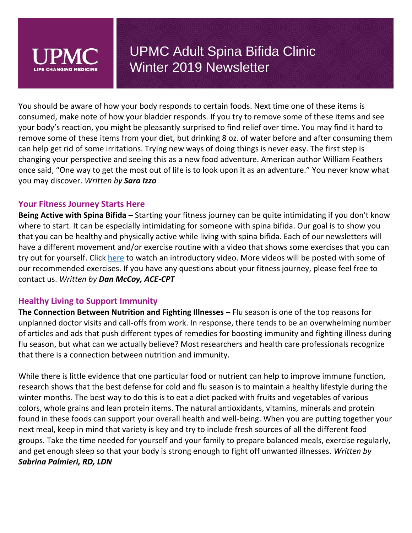

You should be aware of how your body responds to certain foods. Next time one of these items is consumed, make note of how your bladder responds. If you try to remove some of these items and see your body's reaction, you might be pleasantly surprised to find relief over time. You may find it hard to remove some of these items from your diet, but drinking 8 oz. of water before and after consuming them can help get rid of some irritations. Trying new ways of doing things is never easy. The first step is changing your perspective and seeing this as a new food adventure. American author William Feathers once said, "One way to get the most out of life is to look upon it as an adventure." You never know what you may discover. *Written by Sara Izzo*

### **Your Fitness Journey Starts Here**

**Being Active with Spina Bifida** – Starting your fitness journey can be quite intimidating if you don't know where to start. It can be especially intimidating for someone with spina bifida. Our goal is to show you that you can be healthy and physically active while living with spina bifida. Each of our newsletters will have a different movement and/or exercise routine with a video that shows some exercises that you can try out for yourself. Click [here](https://www.youtube.com/watch?v=A6BO8LhbXbQ) to watch an introductory video. More videos will be posted with some of our recommended exercises. If you have any questions about your fitness journey, please feel free to contact us. *Written by Dan McCoy, ACE-CPT*

### **Healthy Living to Support Immunity**

**The Connection Between Nutrition and Fighting Illnesses** – Flu season is one of the top reasons for unplanned doctor visits and call-offs from work. In response, there tends to be an overwhelming number of articles and ads that push different types of remedies for boosting immunity and fighting illness during flu season, but what can we actually believe? Most researchers and health care professionals recognize that there is a connection between nutrition and immunity.

While there is little evidence that one particular food or nutrient can help to improve immune function, research shows that the best defense for cold and flu season is to maintain a healthy lifestyle during the winter months. The best way to do this is to eat a diet packed with fruits and vegetables of various colors, whole grains and lean protein items. The natural antioxidants, vitamins, minerals and protein found in these foods can support your overall health and well-being. When you are putting together your next meal, keep in mind that variety is key and try to include fresh sources of all the different food groups. Take the time needed for yourself and your family to prepare balanced meals, exercise regularly, and get enough sleep so that your body is strong enough to fight off unwanted illnesses. *Written by Sabrina Palmieri, RD, LDN*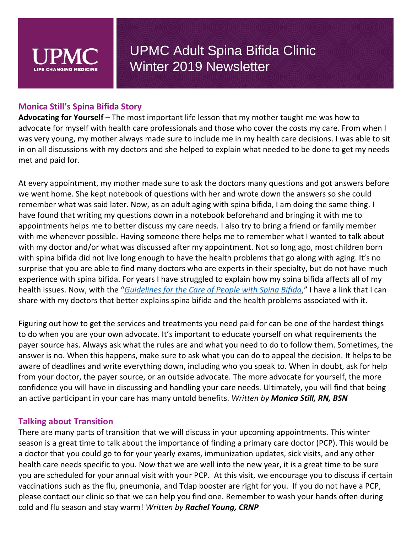

#### **Monica Still's Spina Bifida Story**

**Advocating for Yourself** – The most important life lesson that my mother taught me was how to advocate for myself with health care professionals and those who cover the costs my care. From when I was very young, my mother always made sure to include me in my health care decisions. I was able to sit in on all discussions with my doctors and she helped to explain what needed to be done to get my needs met and paid for.

At every appointment, my mother made sure to ask the doctors many questions and got answers before we went home. She kept notebook of questions with her and wrote down the answers so she could remember what was said later. Now, as an adult aging with spina bifida, I am doing the same thing. I have found that writing my questions down in a notebook beforehand and bringing it with me to appointments helps me to better discuss my care needs. I also try to bring a friend or family member with me whenever possible. Having someone there helps me to remember what I wanted to talk about with my doctor and/or what was discussed after my appointment. Not so long ago, most children born with spina bifida did not live long enough to have the health problems that go along with aging. It's no surprise that you are able to find many doctors who are experts in their specialty, but do not have much experience with spina bifida. For years I have struggled to explain how my spina bifida affects all of my health issues. Now, with the "*[Guidelines for the Care of People with Spina Bifida](http://spinabifidaassociation.org/guidelines/)*," I have a link that I can share with my doctors that better explains spina bifida and the health problems associated with it.

Figuring out how to get the services and treatments you need paid for can be one of the hardest things to do when you are your own advocate. It's important to educate yourself on what requirements the payer source has. Always ask what the rules are and what you need to do to follow them. Sometimes, the answer is no. When this happens, make sure to ask what you can do to appeal the decision. It helps to be aware of deadlines and write everything down, including who you speak to. When in doubt, ask for help from your doctor, the payer source, or an outside advocate. The more advocate for yourself, the more confidence you will have in discussing and handling your care needs. Ultimately, you will find that being an active participant in your care has many untold benefits. *Written by Monica Still, RN, BSN*

#### **Talking about Transition**

There are many parts of transition that we will discuss in your upcoming appointments. This winter season is a great time to talk about the importance of finding a primary care doctor (PCP). This would be a doctor that you could go to for your yearly exams, immunization updates, sick visits, and any other health care needs specific to you. Now that we are well into the new year, it is a great time to be sure you are scheduled for your annual visit with your PCP. At this visit, we encourage you to discuss if certain vaccinations such as the flu, pneumonia, and Tdap booster are right for you. If you do not have a PCP, please contact our clinic so that we can help you find one. Remember to wash your hands often during cold and flu season and stay warm! *Written by Rachel Young, CRNP*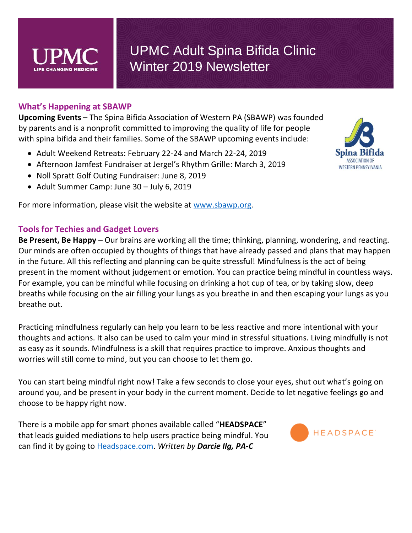

#### **What's Happening at SBAWP**

**Upcoming Events** – The Spina Bifida Association of Western PA (SBAWP) was founded by parents and is a nonprofit committed to improving the quality of life for people with spina bifida and their families. Some of the SBAWP upcoming events include:

- Adult Weekend Retreats: February 22-24 and March 22-24, 2019
- Afternoon Jamfest Fundraiser at Jergel's Rhythm Grille: March 3, 2019
- Noll Spratt Golf Outing Fundraiser: June 8, 2019
- Adult Summer Camp: June 30 July 6, 2019

For more information, please visit the website at [www.sbawp.org.](http://www.sbawp.org/)

#### **Tools for Techies and Gadget Lovers**

**Be Present, Be Happy** – Our brains are working all the time; thinking, planning, wondering, and reacting. Our minds are often occupied by thoughts of things that have already passed and plans that may happen in the future. All this reflecting and planning can be quite stressful! Mindfulness is the act of being present in the moment without judgement or emotion. You can practice being mindful in countless ways. For example, you can be mindful while focusing on drinking a hot cup of tea, or by taking slow, deep breaths while focusing on the air filling your lungs as you breathe in and then escaping your lungs as you breathe out.

Practicing mindfulness regularly can help you learn to be less reactive and more intentional with your thoughts and actions. It also can be used to calm your mind in stressful situations. Living mindfully is not as easy as it sounds. Mindfulness is a skill that requires practice to improve. Anxious thoughts and worries will still come to mind, but you can choose to let them go.

You can start being mindful right now! Take a few seconds to close your eyes, shut out what's going on around you, and be present in your body in the current moment. Decide to let negative feelings go and choose to be happy right now.

There is a mobile app for smart phones available called "**HEADSPACE**" that leads guided mediations to help users practice being mindful. You can find it by going to [Headspace.com.](https://www.headspace.com/headspace-meditation-app) *Written by Darcie Ilg, PA-C*